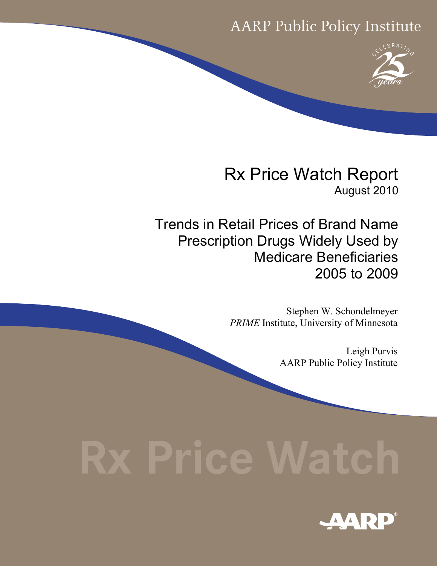# AARP Public Policy Institute



Rx Price Watch Report August 2010

Trends in Retail Prices of Brand Name Prescription Drugs Widely Used by Medicare Beneficiaries 2005 to 2009

> Stephen W. Schondelmeyer *PRIME* Institute, University of Minnesota

> > Leigh Purvis AARP Public Policy Institute

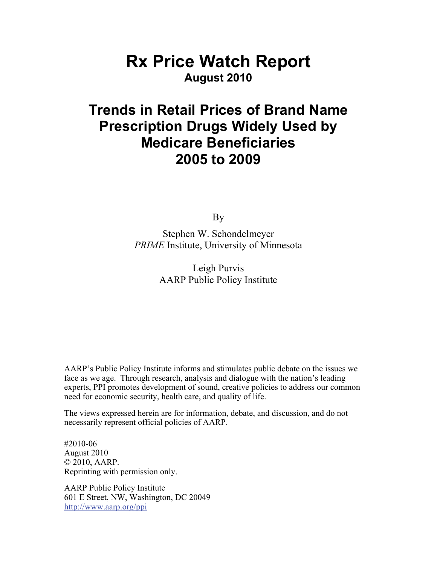# **Rx Price Watch Report August 2010**

# **Trends in Retail Prices of Brand Name Prescription Drugs Widely Used by Medicare Beneficiaries 2005 to 2009**

By

Stephen W. Schondelmeyer *PRIME* Institute, University of Minnesota

> Leigh Purvis AARP Public Policy Institute

AARP's Public Policy Institute informs and stimulates public debate on the issues we face as we age. Through research, analysis and dialogue with the nation's leading experts, PPI promotes development of sound, creative policies to address our common need for economic security, health care, and quality of life.

The views expressed herein are for information, debate, and discussion, and do not necessarily represent official policies of AARP.

#2010-06 August 2010 © 2010, AARP. Reprinting with permission only.

AARP Public Policy Institute 601 E Street, NW, Washington, DC 20049 <http://www.aarp.org/ppi>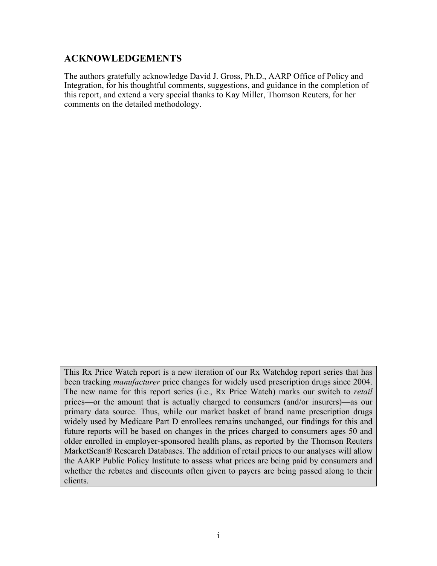### <span id="page-3-0"></span>**ACKNOWLEDGEMENTS**

The authors gratefully acknowledge David J. Gross, Ph.D., AARP Office of Policy and Integration, for his thoughtful comments, suggestions, and guidance in the completion of this report, and extend a very special thanks to Kay Miller, Thomson Reuters, for her comments on the detailed methodology.

This Rx Price Watch report is a new iteration of our Rx Watchdog report series that has been tracking *manufacturer* price changes for widely used prescription drugs since 2004. The new name for this report series (i.e., Rx Price Watch) marks our switch to *retail* prices—or the amount that is actually charged to consumers (and/or insurers)—as our primary data source. Thus, while our market basket of brand name prescription drugs widely used by Medicare Part D enrollees remains unchanged, our findings for this and future reports will be based on changes in the prices charged to consumers ages 50 and older enrolled in employer-sponsored health plans, as reported by the Thomson Reuters MarketScan® Research Databases. The addition of retail prices to our analyses will allow the AARP Public Policy Institute to assess what prices are being paid by consumers and whether the rebates and discounts often given to payers are being passed along to their clients.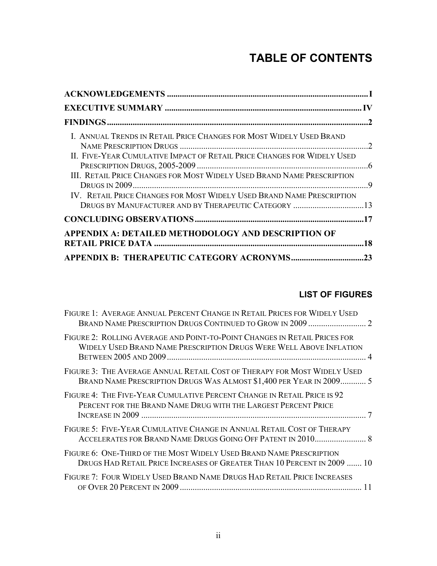# **TABLE OF CONTENTS**

| I. ANNUAL TRENDS IN RETAIL PRICE CHANGES FOR MOST WIDELY USED BRAND     |  |
|-------------------------------------------------------------------------|--|
| II. FIVE-YEAR CUMULATIVE IMPACT OF RETAIL PRICE CHANGES FOR WIDELY USED |  |
| III. RETAIL PRICE CHANGES FOR MOST WIDELY USED BRAND NAME PRESCRIPTION  |  |
| IV. RETAIL PRICE CHANGES FOR MOST WIDELY USED BRAND NAME PRESCRIPTION   |  |
|                                                                         |  |
| APPENDIX A: DETAILED METHODOLOGY AND DESCRIPTION OF                     |  |
|                                                                         |  |

# **LIST OF FIGURES**

| FIGURE 1: AVERAGE ANNUAL PERCENT CHANGE IN RETAIL PRICES FOR WIDELY USED                                                                         |  |
|--------------------------------------------------------------------------------------------------------------------------------------------------|--|
| FIGURE 2: ROLLING AVERAGE AND POINT-TO-POINT CHANGES IN RETAIL PRICES FOR<br>WIDELY USED BRAND NAME PRESCRIPTION DRUGS WERE WELL ABOVE INFLATION |  |
| FIGURE 3: THE AVERAGE ANNUAL RETAIL COST OF THERAPY FOR MOST WIDELY USED<br>BRAND NAME PRESCRIPTION DRUGS WAS ALMOST \$1,400 PER YEAR IN 2009 5  |  |
| FIGURE 4: THE FIVE-YEAR CUMULATIVE PERCENT CHANGE IN RETAIL PRICE IS 92<br>PERCENT FOR THE BRAND NAME DRUG WITH THE LARGEST PERCENT PRICE        |  |
| FIGURE 5: FIVE-YEAR CUMULATIVE CHANGE IN ANNUAL RETAIL COST OF THERAPY                                                                           |  |
| FIGURE 6: ONE-THIRD OF THE MOST WIDELY USED BRAND NAME PRESCRIPTION<br>DRUGS HAD RETAIL PRICE INCREASES OF GREATER THAN 10 PERCENT IN 2009  10   |  |
| FIGURE 7: FOUR WIDELY USED BRAND NAME DRUGS HAD RETAIL PRICE INCREASES                                                                           |  |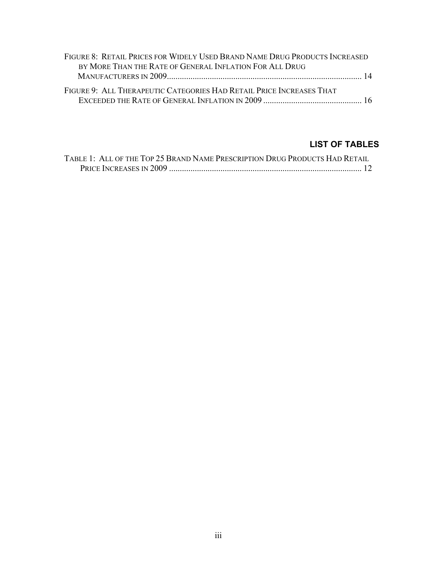| FIGURE 8: RETAIL PRICES FOR WIDELY USED BRAND NAME DRUG PRODUCTS INCREASED |  |
|----------------------------------------------------------------------------|--|
| BY MORE THAN THE RATE OF GENERAL INFLATION FOR ALL DRUG                    |  |
|                                                                            |  |
| FIGURE 9: ALL THERAPEUTIC CATEGORIES HAD RETAIL PRICE INCREASES THAT       |  |
|                                                                            |  |

# **LIST OF TABLES**

| TABLE 1: ALL OF THE TOP 25 BRAND NAME PRESCRIPTION DRUG PRODUCTS HAD RETAIL |  |
|-----------------------------------------------------------------------------|--|
|                                                                             |  |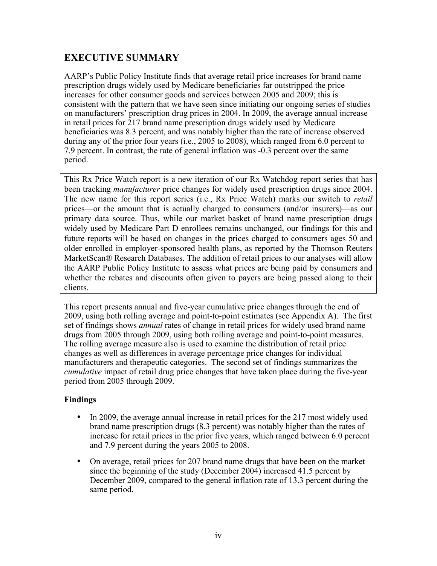# <span id="page-6-0"></span>**EXECUTIVE SUMMARY**

AARP's Public Policy Institute finds that average retail price increases for brand name prescription drugs widely used by Medicare beneficiaries far outstripped the price increases for other consumer goods and services between 2005 and 2009; this is consistent with the pattern that we have seen since initiating our ongoing series of studies on manufacturers' prescription drug prices in 2004. In 2009, the average annual increase in retail prices for 217 brand name prescription drugs widely used by Medicare beneficiaries was 8.3 percent, and was notably higher than the rate of increase observed during any of the prior four years (i.e., 2005 to 2008), which ranged from 6.0 percent to 7.9 percent. In contrast, the rate of general inflation was -0.3 percent over the same period.

This Rx Price Watch report is a new iteration of our Rx Watchdog report series that has been tracking *manufacturer* price changes for widely used prescription drugs since 2004. The new name for this report series (i.e., Rx Price Watch) marks our switch to *retail* prices—or the amount that is actually charged to consumers (and/or insurers)—as our primary data source. Thus, while our market basket of brand name prescription drugs widely used by Medicare Part D enrollees remains unchanged, our findings for this and future reports will be based on changes in the prices charged to consumers ages 50 and older enrolled in employer-sponsored health plans, as reported by the Thomson Reuters MarketScan® Research Databases. The addition of retail prices to our analyses will allow the AARP Public Policy Institute to assess what prices are being paid by consumers and whether the rebates and discounts often given to payers are being passed along to their clients.

This report presents annual and five-year cumulative price changes through the end of 2009, using both rolling average and point-to-point estimates (see Appendix A). The first set of findings shows *annual* rates of change in retail prices for widely used brand name drugs from 2005 through 2009, using both rolling average and point-to-point measures. The rolling average measure also is used to examine the distribution of retail price changes as well as differences in average percentage price changes for individual manufacturers and therapeutic categories. The second set of findings summarizes the *cumulative* impact of retail drug price changes that have taken place during the five-year period from 2005 through 2009.

### **Findings**

- In 2009, the average annual increase in retail prices for the 217 most widely used brand name prescription drugs (8.3 percent) was notably higher than the rates of increase for retail prices in the prior five years, which ranged between 6.0 percent and 7.9 percent during the years 2005 to 2008.
- On average, retail prices for 207 brand name drugs that have been on the market since the beginning of the study (December 2004) increased 41.5 percent by December 2009, compared to the general inflation rate of 13.3 percent during the same period.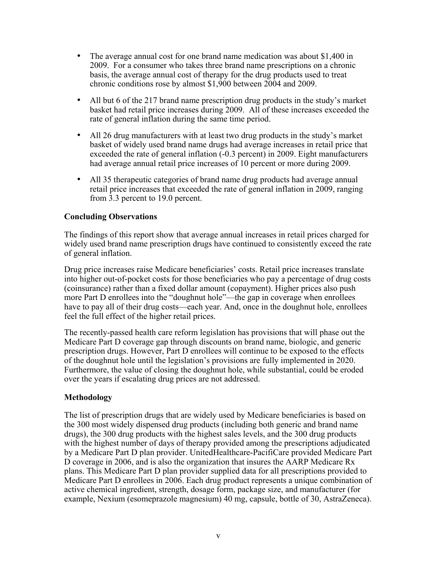- The average annual cost for one brand name medication was about \$1,400 in 2009. For a consumer who takes three brand name prescriptions on a chronic basis, the average annual cost of therapy for the drug products used to treat chronic conditions rose by almost \$1,900 between 2004 and 2009.
- All but 6 of the 217 brand name prescription drug products in the study's market basket had retail price increases during 2009. All of these increases exceeded the rate of general inflation during the same time period.
- All 26 drug manufacturers with at least two drug products in the study's market basket of widely used brand name drugs had average increases in retail price that exceeded the rate of general inflation (-0.3 percent) in 2009. Eight manufacturers had average annual retail price increases of 10 percent or more during 2009.
- All 35 therapeutic categories of brand name drug products had average annual retail price increases that exceeded the rate of general inflation in 2009, ranging from 3.3 percent to 19.0 percent.

#### **Concluding Observations**

The findings of this report show that average annual increases in retail prices charged for widely used brand name prescription drugs have continued to consistently exceed the rate of general inflation.

Drug price increases raise Medicare beneficiaries' costs. Retail price increases translate into higher out-of-pocket costs for those beneficiaries who pay a percentage of drug costs (coinsurance) rather than a fixed dollar amount (copayment). Higher prices also push more Part D enrollees into the "doughnut hole"—the gap in coverage when enrollees have to pay all of their drug costs—each year. And, once in the doughnut hole, enrollees feel the full effect of the higher retail prices.

The recently-passed health care reform legislation has provisions that will phase out the Medicare Part D coverage gap through discounts on brand name, biologic, and generic prescription drugs. However, Part D enrollees will continue to be exposed to the effects of the doughnut hole until the legislation's provisions are fully implemented in 2020. Furthermore, the value of closing the doughnut hole, while substantial, could be eroded over the years if escalating drug prices are not addressed.

#### **Methodology**

The list of prescription drugs that are widely used by Medicare beneficiaries is based on the 300 most widely dispensed drug products (including both generic and brand name drugs), the 300 drug products with the highest sales levels, and the 300 drug products with the highest number of days of therapy provided among the prescriptions adjudicated by a Medicare Part D plan provider. UnitedHealthcare-PacifiCare provided Medicare Part D coverage in 2006, and is also the organization that insures the AARP Medicare Rx plans. This Medicare Part D plan provider supplied data for all prescriptions provided to Medicare Part D enrollees in 2006. Each drug product represents a unique combination of active chemical ingredient, strength, dosage form, package size, and manufacturer (for example, Nexium (esomeprazole magnesium) 40 mg, capsule, bottle of 30, AstraZeneca).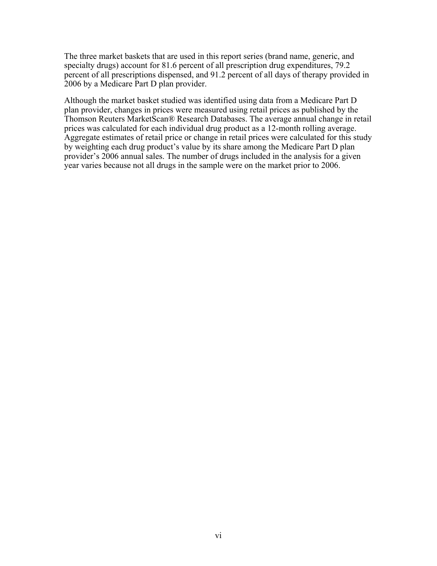The three market baskets that are used in this report series (brand name, generic, and specialty drugs) account for 81.6 percent of all prescription drug expenditures, 79.2 percent of all prescriptions dispensed, and 91.2 percent of all days of therapy provided in 2006 by a Medicare Part D plan provider.

Although the market basket studied was identified using data from a Medicare Part D plan provider, changes in prices were measured using retail prices as published by the Thomson Reuters MarketScan® Research Databases. The average annual change in retail prices was calculated for each individual drug product as a 12-month rolling average. Aggregate estimates of retail price or change in retail prices were calculated for this study by weighting each drug product's value by its share among the Medicare Part D plan provider's 2006 annual sales. The number of drugs included in the analysis for a given year varies because not all drugs in the sample were on the market prior to 2006.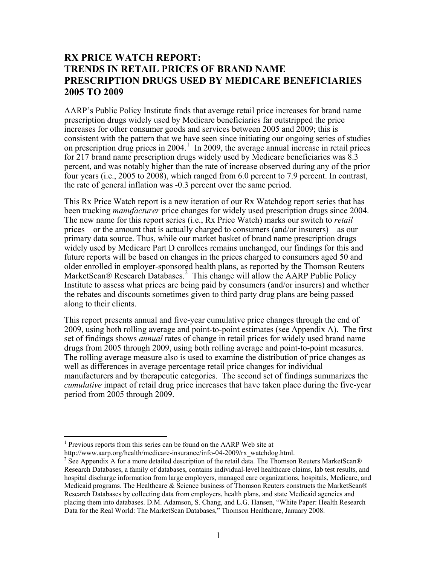# **RX PRICE WATCH REPORT: TRENDS IN RETAIL PRICES OF BRAND NAME PRESCRIPTION DRUGS USED BY MEDICARE BENEFICIARIES 2005 TO 2009**

AARP's Public Policy Institute finds that average retail price increases for brand name prescription drugs widely used by Medicare beneficiaries far outstripped the price increases for other consumer goods and services between 2005 and 2009; this is consistent with the pattern that we have seen since initiating our ongoing series of studies on prescription drug prices in  $2004$ <sup>[1](#page-9-0)</sup>. In 2009, the average annual increase in retail prices for 217 brand name prescription drugs widely used by Medicare beneficiaries was 8.3 percent, and was notably higher than the rate of increase observed during any of the prior four years (i.e., 2005 to 2008), which ranged from 6.0 percent to 7.9 percent. In contrast, the rate of general inflation was -0.3 percent over the same period.

This Rx Price Watch report is a new iteration of our Rx Watchdog report series that has been tracking *manufacturer* price changes for widely used prescription drugs since 2004. The new name for this report series (i.e., Rx Price Watch) marks our switch to *retail* prices—or the amount that is actually charged to consumers (and/or insurers)—as our primary data source. Thus, while our market basket of brand name prescription drugs widely used by Medicare Part D enrollees remains unchanged, our findings for this and future reports will be based on changes in the prices charged to consumers aged 50 and older enrolled in employer-sponsored health plans, as reported by the Thomson Reuters MarketScan® Research Databases.<sup>[2](#page-9-1)</sup> This change will allow the AARP Public Policy Institute to assess what prices are being paid by consumers (and/or insurers) and whether the rebates and discounts sometimes given to third party drug plans are being passed along to their clients.

This report presents annual and five-year cumulative price changes through the end of 2009, using both rolling average and point-to-point estimates (see Appendix A). The first set of findings shows *annual* rates of change in retail prices for widely used brand name drugs from 2005 through 2009, using both rolling average and point-to-point measures. The rolling average measure also is used to examine the distribution of price changes as well as differences in average percentage retail price changes for individual manufacturers and by therapeutic categories. The second set of findings summarizes the *cumulative* impact of retail drug price increases that have taken place during the five-year period from 2005 through 2009.

 $\overline{a}$ 

<span id="page-9-0"></span><sup>&</sup>lt;sup>1</sup> Previous reports from this series can be found on the AARP Web site at

http://www.aarp.org/health/medicare-insurance/info-04-2009/rx\_watchdog.html.

<span id="page-9-1"></span><sup>&</sup>lt;sup>2</sup> See Appendix A for a more detailed description of the retail data. The Thomson Reuters MarketScan® Research Databases, a family of databases, contains individual-level healthcare claims, lab test results, and hospital discharge information from large employers, managed care organizations, hospitals, Medicare, and Medicaid programs. The Healthcare & Science business of Thomson Reuters constructs the MarketScan® Research Databases by collecting data from employers, health plans, and state Medicaid agencies and placing them into databases. D.M. Adamson, S. Chang, and L.G. Hansen, "White Paper: Health Research Data for the Real World: The MarketScan Databases," Thomson Healthcare, January 2008.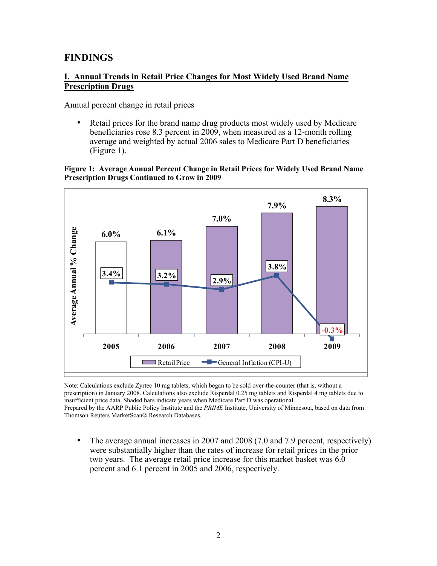### <span id="page-10-0"></span>**FINDINGS**

#### **I. Annual Trends in Retail Price Changes for Most Widely Used Brand Name Prescription Drugs**

#### Annual percent change in retail prices

• Retail prices for the brand name drug products most widely used by Medicare beneficiaries rose 8.3 percent in 2009, when measured as a 12-month rolling average and weighted by actual 2006 sales to Medicare Part D beneficiaries (Figure 1).

#### **Figure 1: Average Annual Percent Change in Retail Prices for Widely Used Brand Name Prescription Drugs Continued to Grow in 2009**



Note: Calculations exclude Zyrtec 10 mg tablets, which began to be sold over-the-counter (that is, without a prescription) in January 2008. Calculations also exclude Risperdal 0.25 mg tablets and Risperdal 4 mg tablets due to insufficient price data. Shaded bars indicate years when Medicare Part D was operational. Prepared by the AARP Public Policy Institute and the *PRIME* Institute, University of Minnesota, based on data from Thomson Reuters MarketScan® Research Databases.

• The average annual increases in 2007 and 2008 (7.0 and 7.9 percent, respectively) were substantially higher than the rates of increase for retail prices in the prior two years. The average retail price increase for this market basket was 6.0 percent and 6.1 percent in 2005 and 2006, respectively.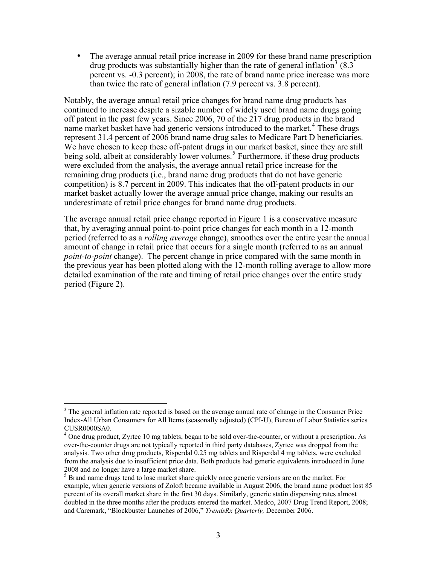• The average annual retail price increase in 2009 for these brand name prescription drug products was substantially higher than the rate of general inflation<sup>[3](#page-11-0)</sup> (8.3) percent vs. -0.3 percent); in 2008, the rate of brand name price increase was more than twice the rate of general inflation (7.9 percent vs. 3.8 percent).

Notably, the average annual retail price changes for brand name drug products has continued to increase despite a sizable number of widely used brand name drugs going off patent in the past few years. Since 2006, 70 of the 217 drug products in the brand name market basket have had generic versions introduced to the market.<sup>[4](#page-11-1)</sup> These drugs represent 31.4 percent of 2006 brand name drug sales to Medicare Part D beneficiaries. We have chosen to keep these off-patent drugs in our market basket, since they are still being sold, albeit at considerably lower volumes.<sup>[5](#page-11-2)</sup> Furthermore, if these drug products were excluded from the analysis, the average annual retail price increase for the remaining drug products (i.e., brand name drug products that do not have generic competition) is 8.7 percent in 2009. This indicates that the off-patent products in our market basket actually lower the average annual price change, making our results an underestimate of retail price changes for brand name drug products.

The average annual retail price change reported in Figure 1 is a conservative measure that, by averaging annual point-to-point price changes for each month in a 12-month period (referred to as a *rolling average* change), smoothes over the entire year the annual amount of change in retail price that occurs for a single month (referred to as an annual *point-to-point* change). The percent change in price compared with the same month in the previous year has been plotted along with the 12-month rolling average to allow more detailed examination of the rate and timing of retail price changes over the entire study period (Figure 2).

<span id="page-11-0"></span> $\overline{a}$  $3$  The general inflation rate reported is based on the average annual rate of change in the Consumer Price Index-All Urban Consumers for All Items (seasonally adjusted) (CPI-U), Bureau of Labor Statistics series CUSR0000SA0.

<span id="page-11-1"></span><sup>&</sup>lt;sup>4</sup> One drug product, Zyrtec 10 mg tablets, began to be sold over-the-counter, or without a prescription. As over-the-counter drugs are not typically reported in third party databases, Zyrtec was dropped from the analysis. Two other drug products, Risperdal 0.25 mg tablets and Risperdal 4 mg tablets, were excluded from the analysis due to insufficient price data. Both products had generic equivalents introduced in June 2008 and no longer have a large market share.

<span id="page-11-2"></span><sup>&</sup>lt;sup>5</sup> Brand name drugs tend to lose market share quickly once generic versions are on the market. For example, when generic versions of Zoloft became available in August 2006, the brand name product lost 85 percent of its overall market share in the first 30 days. Similarly, generic statin dispensing rates almost doubled in the three months after the products entered the market. Medco, 2007 Drug Trend Report, 2008; and Caremark, "Blockbuster Launches of 2006," *TrendsRx Quarterly,* December 2006.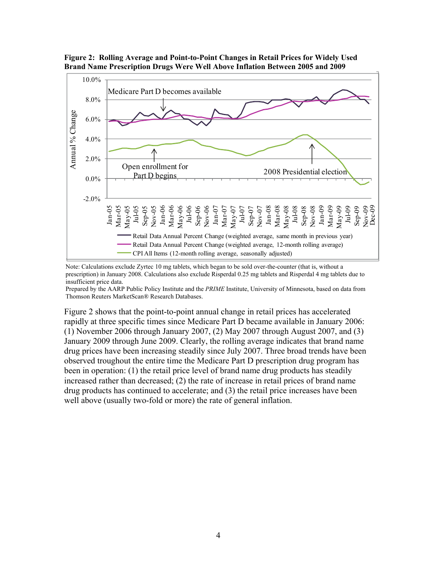

<span id="page-12-0"></span>**Figure 2: Rolling Average and Point-to-Point Changes in Retail Prices for Widely Used Brand Name Prescription Drugs Were Well Above Inflation Between 2005 and 2009** 

Note: Calculations exclude Zyrtec 10 mg tablets, which began to be sold over-the-counter (that is, without a prescription) in January 2008. Calculations also exclude Risperdal 0.25 mg tablets and Risperdal 4 mg tablets due to insufficient price data.

Prepared by the AARP Public Policy Institute and the *PRIME* Institute, University of Minnesota, based on data from Thomson Reuters MarketScan® Research Databases.

Figure 2 shows that the point-to-point annual change in retail prices has accelerated rapidly at three specific times since Medicare Part D became available in January 2006: (1) November 2006 through January 2007, (2) May 2007 through August 2007, and (3) January 2009 through June 2009. Clearly, the rolling average indicates that brand name drug prices have been increasing steadily since July 2007. Three broad trends have been observed troughout the entire time the Medicare Part D prescription drug program has been in operation: (1) the retail price level of brand name drug products has steadily increased rather than decreased; (2) the rate of increase in retail prices of brand name drug products has continued to accelerate; and (3) the retail price increases have been well above (usually two-fold or more) the rate of general inflation.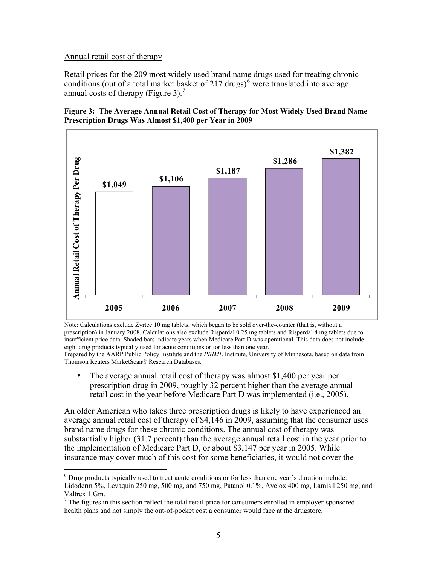#### <span id="page-13-0"></span>Annual retail cost of therapy

 $\overline{a}$ 

Retail prices for the 209 most widely used brand name drugs used for treating chronic conditions (out of a total market basket of 217 drugs) $<sup>6</sup>$  $<sup>6</sup>$  $<sup>6</sup>$  were translated into average</sup> annual costs of therapy (Figure 3).<sup>[7](#page-13-2)</sup>





Note: Calculations exclude Zyrtec 10 mg tablets, which began to be sold over-the-counter (that is, without a prescription) in January 2008. Calculations also exclude Risperdal 0.25 mg tablets and Risperdal 4 mg tablets due to insufficient price data. Shaded bars indicate years when Medicare Part D was operational. This data does not include eight drug products typically used for acute conditions or for less than one year. Prepared by the AARP Public Policy Institute and the *PRIME* Institute, University of Minnesota, based on data from

- Thomson Reuters MarketScan® Research Databases. • The average annual retail cost of therapy was almost \$1,400 per year per
	- prescription drug in 2009, roughly 32 percent higher than the average annual retail cost in the year before Medicare Part D was implemented (i.e., 2005).

An older American who takes three prescription drugs is likely to have experienced an average annual retail cost of therapy of \$4,146 in 2009, assuming that the consumer uses brand name drugs for these chronic conditions. The annual cost of therapy was substantially higher (31.7 percent) than the average annual retail cost in the year prior to the implementation of Medicare Part D, or about \$3,147 per year in 2005. While insurance may cover much of this cost for some beneficiaries, it would not cover the

<span id="page-13-1"></span> $6$  Drug products typically used to treat acute conditions or for less than one year's duration include: Lidoderm 5%, Levaquin 250 mg, 500 mg, and 750 mg, Patanol 0.1%, Avelox 400 mg, Lamisil 250 mg, and Valtrex 1 Gm.

<span id="page-13-2"></span> $<sup>7</sup>$  The figures in this section reflect the total retail price for consumers enrolled in employer-sponsored</sup> health plans and not simply the out-of-pocket cost a consumer would face at the drugstore.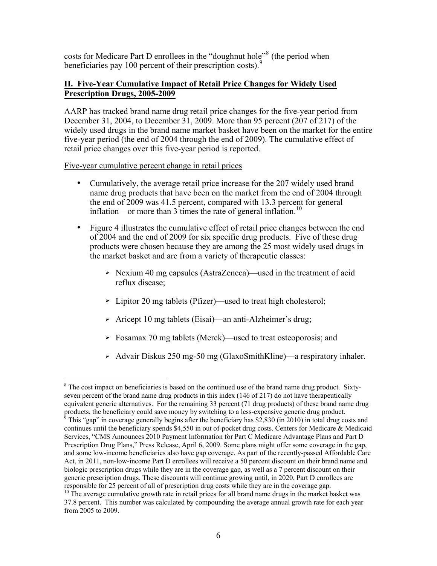<span id="page-14-0"></span>costs for Medicare Part D enrollees in the "doughnut hole"<sup>[8](#page-14-1)</sup> (the period when beneficiaries pay 100 percent of their prescription costs).

#### **II. Five-Year Cumulative Impact of Retail Price Changes for Widely Used Prescription Drugs, 2005-2009**

AARP has tracked brand name drug retail price changes for the five-year period from December 31, 2004, to December 31, 2009. More than 95 percent (207 of 217) of the widely used drugs in the brand name market basket have been on the market for the entire five-year period (the end of 2004 through the end of 2009). The cumulative effect of retail price changes over this five-year period is reported.

#### Five-year cumulative percent change in retail prices

- Cumulatively, the average retail price increase for the 207 widely used brand name drug products that have been on the market from the end of 2004 through the end of 2009 was 41.5 percent, compared with 13.3 percent for general inflation—or more than 3 times the rate of general inflation.<sup>[10](#page-14-3)</sup>
- Figure 4 illustrates the cumulative effect of retail price changes between the end of 2004 and the end of 2009 for six specific drug products. Five of these drug products were chosen because they are among the 25 most widely used drugs in the market basket and are from a variety of therapeutic classes:
	- $\triangleright$  Nexium 40 mg capsules (AstraZeneca)—used in the treatment of acid reflux disease;
	- Lipitor 20 mg tablets (Pfizer)—used to treat high cholesterol;
	- Aricept 10 mg tablets (Eisai)—an anti-Alzheimer's drug;
	- Fosamax 70 mg tablets (Merck)—used to treat osteoporosis; and
	- Advair Diskus 250 mg-50 mg (GlaxoSmithKline)—a respiratory inhaler.

<span id="page-14-1"></span><sup>1</sup> <sup>8</sup> The cost impact on beneficiaries is based on the continued use of the brand name drug product. Sixtyseven percent of the brand name drug products in this index (146 of 217) do not have therapeutically equivalent generic alternatives. For the remaining 33 percent (71 drug products) of these brand name drug products, the beneficiary could save money by switching to a less-expensive generic drug product.<br><sup>9</sup> This "con" in equation concretive bosing ofter the boneficiary has \$2,820 (in 2010) in total drug co

<span id="page-14-2"></span>This "gap" in coverage generally begins after the beneficiary has \$2,830 (in 2010) in total drug costs and continues until the beneficiary spends \$4,550 in out of-pocket drug costs. Centers for Medicare & Medicaid Services, "CMS Announces 2010 Payment Information for Part C Medicare Advantage Plans and Part D Prescription Drug Plans," Press Release, April 6, 2009. Some plans might offer some coverage in the gap, and some low-income beneficiaries also have gap coverage. As part of the recently-passed Affordable Care Act, in 2011, non-low-income Part D enrollees will receive a 50 percent discount on their brand name and biologic prescription drugs while they are in the coverage gap, as well as a 7 percent discount on their generic prescription drugs. These discounts will continue growing until, in 2020, Part D enrollees are responsible for 25 percent of all of prescription drug costs while they are in the coverage gap.

<span id="page-14-3"></span> $10$  The average cumulative growth rate in retail prices for all brand name drugs in the market basket was 37.8 percent. This number was calculated by compounding the average annual growth rate for each year from 2005 to 2009.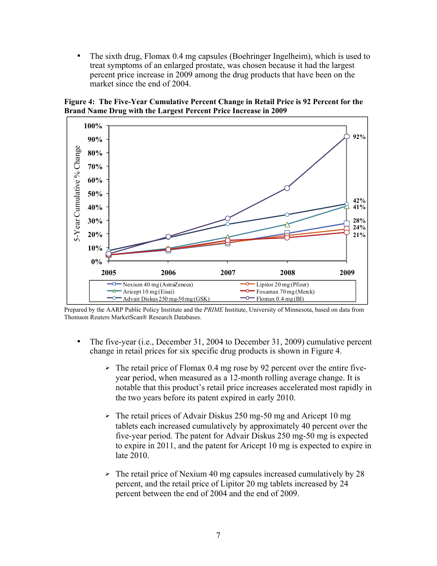<span id="page-15-0"></span>• The sixth drug, Flomax 0.4 mg capsules (Boehringer Ingelheim), which is used to treat symptoms of an enlarged prostate, was chosen because it had the largest percent price increase in 2009 among the drug products that have been on the market since the end of 2004.

**Figure 4: The Five-Year Cumulative Percent Change in Retail Price is 92 Percent for the Brand Name Drug with the Largest Percent Price Increase in 2009** 



Prepared by the AARP Public Policy Institute and the *PRIME* Institute, University of Minnesota, based on data from Thomson Reuters MarketScan® Research Databases.

- The five-year (i.e., December 31, 2004 to December 31, 2009) cumulative percent change in retail prices for six specific drug products is shown in Figure 4.
	- The retail price of Flomax 0.4 mg rose by 92 percent over the entire fiveyear period, when measured as a 12-month rolling average change. It is notable that this product's retail price increases accelerated most rapidly in the two years before its patent expired in early 2010.
	- $\geq$  The retail prices of Advair Diskus 250 mg-50 mg and Aricept 10 mg tablets each increased cumulatively by approximately 40 percent over the five-year period. The patent for Advair Diskus 250 mg-50 mg is expected to expire in 2011, and the patent for Aricept 10 mg is expected to expire in late 2010.
	- $\geq$  The retail price of Nexium 40 mg capsules increased cumulatively by 28 percent, and the retail price of Lipitor 20 mg tablets increased by 24 percent between the end of 2004 and the end of 2009.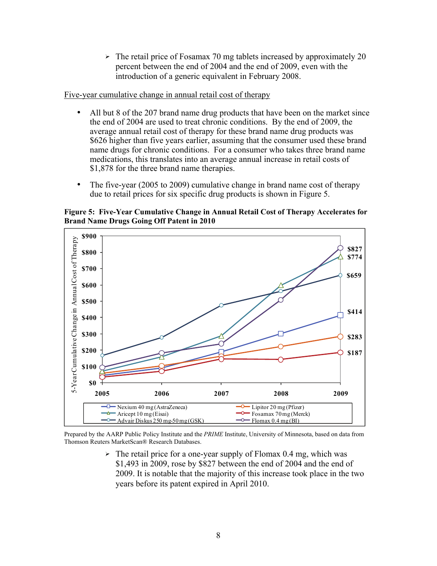$\geq$  The retail price of Fosamax 70 mg tablets increased by approximately 20 percent between the end of 2004 and the end of 2009, even with the introduction of a generic equivalent in February 2008.

<span id="page-16-0"></span>Five-year cumulative change in annual retail cost of therapy

- All but 8 of the 207 brand name drug products that have been on the market since the end of 2004 are used to treat chronic conditions. By the end of 2009, the average annual retail cost of therapy for these brand name drug products was \$626 higher than five years earlier, assuming that the consumer used these brand name drugs for chronic conditions. For a consumer who takes three brand name medications, this translates into an average annual increase in retail costs of \$1,878 for the three brand name therapies.
- The five-year (2005 to 2009) cumulative change in brand name cost of therapy due to retail prices for six specific drug products is shown in Figure 5.

**Figure 5: Five-Year Cumulative Change in Annual Retail Cost of Therapy Accelerates for Brand Name Drugs Going Off Patent in 2010** 



Prepared by the AARP Public Policy Institute and the *PRIME* Institute, University of Minnesota, based on data from Thomson Reuters MarketScan® Research Databases.

> $\triangleright$  The retail price for a one-year supply of Flomax 0.4 mg, which was \$1,493 in 2009, rose by \$827 between the end of 2004 and the end of 2009. It is notable that the majority of this increase took place in the two years before its patent expired in April 2010.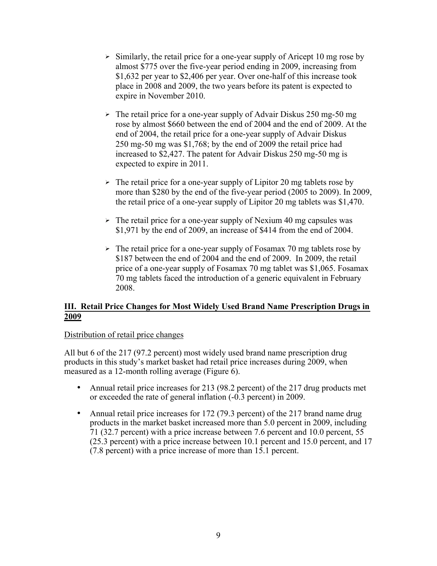- <span id="page-17-0"></span> $\triangleright$  Similarly, the retail price for a one-year supply of Aricept 10 mg rose by almost \$775 over the five-year period ending in 2009, increasing from \$1,632 per year to \$2,406 per year. Over one-half of this increase took place in 2008 and 2009, the two years before its patent is expected to expire in November 2010.
- $\geq$  The retail price for a one-year supply of Advair Diskus 250 mg-50 mg rose by almost \$660 between the end of 2004 and the end of 2009. At the end of 2004, the retail price for a one-year supply of Advair Diskus 250 mg-50 mg was \$1,768; by the end of 2009 the retail price had increased to \$2,427. The patent for Advair Diskus 250 mg-50 mg is expected to expire in 2011.
- $\triangleright$  The retail price for a one-year supply of Lipitor 20 mg tablets rose by more than \$280 by the end of the five-year period (2005 to 2009). In 2009, the retail price of a one-year supply of Lipitor 20 mg tablets was \$1,470.
- $\triangleright$  The retail price for a one-year supply of Nexium 40 mg capsules was \$1,971 by the end of 2009, an increase of \$414 from the end of 2004.
- $\triangleright$  The retail price for a one-year supply of Fosamax 70 mg tablets rose by \$187 between the end of 2004 and the end of 2009. In 2009, the retail price of a one-year supply of Fosamax 70 mg tablet was \$1,065. Fosamax 70 mg tablets faced the introduction of a generic equivalent in February 2008.

#### **III. Retail Price Changes for Most Widely Used Brand Name Prescription Drugs in 2009**

#### Distribution of retail price changes

All but 6 of the 217 (97.2 percent) most widely used brand name prescription drug products in this study's market basket had retail price increases during 2009, when measured as a 12-month rolling average (Figure 6).

- Annual retail price increases for 213 (98.2 percent) of the 217 drug products met or exceeded the rate of general inflation (-0.3 percent) in 2009.
- Annual retail price increases for 172 (79.3 percent) of the 217 brand name drug products in the market basket increased more than 5.0 percent in 2009, including 71 (32.7 percent) with a price increase between 7.6 percent and 10.0 percent, 55 (25.3 percent) with a price increase between 10.1 percent and 15.0 percent, and 17 (7.8 percent) with a price increase of more than 15.1 percent.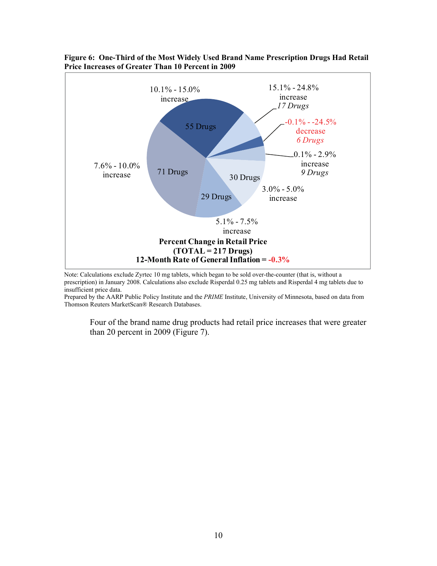

#### <span id="page-18-0"></span>**Figure 6: One-Third of the Most Widely Used Brand Name Prescription Drugs Had Retail Price Increases of Greater Than 10 Percent in 2009**

Note: Calculations exclude Zyrtec 10 mg tablets, which began to be sold over-the-counter (that is, without a prescription) in January 2008. Calculations also exclude Risperdal 0.25 mg tablets and Risperdal 4 mg tablets due to insufficient price data.

Prepared by the AARP Public Policy Institute and the *PRIME* Institute, University of Minnesota, based on data from Thomson Reuters MarketScan® Research Databases.

Four of the brand name drug products had retail price increases that were greater than 20 percent in 2009 (Figure 7).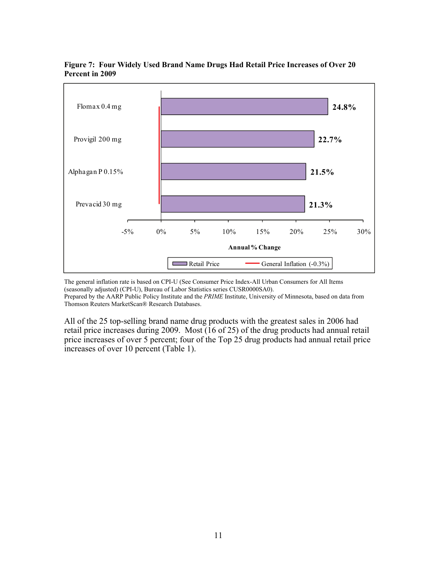

<span id="page-19-0"></span>**Figure 7: Four Widely Used Brand Name Drugs Had Retail Price Increases of Over 20 Percent in 2009** 

The general inflation rate is based on CPI-U (See Consumer Price Index-All Urban Consumers for All Items (seasonally adjusted) (CPI-U), Bureau of Labor Statistics series CUSR0000SA0). Prepared by the AARP Public Policy Institute and the *PRIME* Institute, University of Minnesota, based on data from Thomson Reuters MarketScan® Research Databases.

All of the 25 top-selling brand name drug products with the greatest sales in 2006 had retail price increases during 2009. Most (16 of 25) of the drug products had annual retail price increases of over 5 percent; four of the Top 25 drug products had annual retail price increases of over 10 percent (Table 1).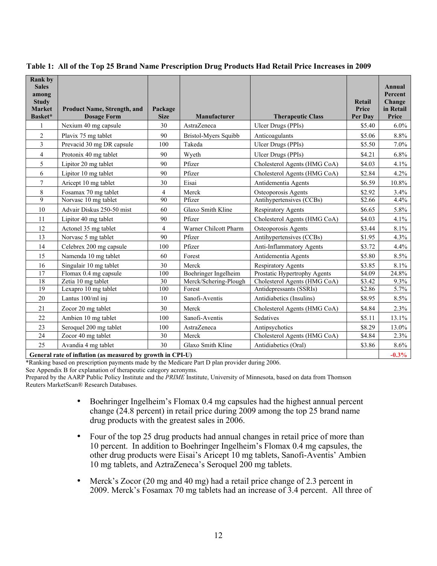| <b>Rank by</b><br><b>Sales</b><br>among<br><b>Study</b><br><b>Market</b><br>Basket* | <b>Product Name, Strength, and</b><br><b>Dosage Form</b> | Package<br><b>Size</b>                                                   | Manufacturer          | <b>Therapeutic Class</b>     | Retail<br>Price<br>Per Day | <b>Annual</b><br>Percent<br>Change<br>in Retail<br>Price |
|-------------------------------------------------------------------------------------|----------------------------------------------------------|--------------------------------------------------------------------------|-----------------------|------------------------------|----------------------------|----------------------------------------------------------|
| 1                                                                                   | Nexium 40 mg capsule                                     | 30                                                                       | AstraZeneca           | Ulcer Drugs (PPIs)           | \$5.40                     | $6.0\%$                                                  |
| $\overline{c}$                                                                      | Plavix 75 mg tablet                                      | 90                                                                       | Bristol-Myers Squibb  | Anticoagulants               | \$5.06                     | 8.8%                                                     |
| 3                                                                                   | Prevacid 30 mg DR capsule                                | 100                                                                      | Takeda                | Ulcer Drugs (PPIs)           | \$5.50                     | 7.0%                                                     |
| 4                                                                                   | Protonix 40 mg tablet                                    | 90                                                                       | Wyeth                 | Ulcer Drugs (PPIs)           | \$4.21                     | 6.8%                                                     |
| 5                                                                                   | Lipitor 20 mg tablet                                     | 90                                                                       | Pfizer                | Cholesterol Agents (HMG CoA) | \$4.03                     | 4.1%                                                     |
| 6                                                                                   | Lipitor 10 mg tablet                                     | 90                                                                       | Pfizer                | Cholesterol Agents (HMG CoA) | \$2.84                     | 4.2%                                                     |
| 7                                                                                   | Aricept 10 mg tablet                                     | 30                                                                       | Eisai                 | Antidementia Agents          | \$6.59                     | 10.8%                                                    |
| 8                                                                                   | Fosamax 70 mg tablet                                     | $\overline{4}$                                                           | Merck                 | Osteoporosis Agents          | \$2.92                     | 3.4%                                                     |
| 9                                                                                   | Norvasc 10 mg tablet                                     | 90                                                                       | Pfizer                | Antihypertensives (CCBs)     | \$2.66                     | 4.4%                                                     |
| 10                                                                                  | Advair Diskus 250-50 mist                                | 60                                                                       | Glaxo Smith Kline     | <b>Respiratory Agents</b>    | \$6.65                     | 5.8%                                                     |
| 11                                                                                  | Lipitor 40 mg tablet                                     | 90                                                                       | Pfizer                | Cholesterol Agents (HMG CoA) | \$4.03                     | 4.1%                                                     |
| 12                                                                                  | Actonel 35 mg tablet                                     | $\overline{4}$                                                           | Warner Chilcott Pharm | Osteoporosis Agents          | \$3.44                     | 8.1%                                                     |
| 13                                                                                  | Norvasc 5 mg tablet                                      | 90                                                                       | Pfizer                | Antihypertensives (CCBs)     | \$1.95                     | 4.3%                                                     |
| 14                                                                                  | Celebrex 200 mg capsule                                  | 100                                                                      | Pfizer                | Anti-Inflammatory Agents     | \$3.72                     | 4.4%                                                     |
| 15                                                                                  | Namenda 10 mg tablet                                     | 60                                                                       | Forest                | Antidementia Agents          | \$5.80                     | 8.5%                                                     |
| 16                                                                                  | Singulair 10 mg tablet                                   | 30                                                                       | Merck                 | <b>Respiratory Agents</b>    | \$3.85                     | 8.1%                                                     |
| 17                                                                                  | Flomax 0.4 mg capsule                                    | 100                                                                      | Boehringer Ingelheim  | Prostatic Hypertrophy Agents | \$4.09                     | 24.8%                                                    |
| 18                                                                                  | Zetia 10 mg tablet                                       | 30                                                                       | Merck/Schering-Plough | Cholesterol Agents (HMG CoA) | \$3.42                     | $9.3\%$                                                  |
| 19                                                                                  | Lexapro 10 mg tablet                                     | 100                                                                      | Forest                | Antidepressants (SSRIs)      | \$2.86                     | 5.7%                                                     |
| 20                                                                                  | Lantus 100/ml inj                                        | 10                                                                       | Sanofi-Aventis        | Antidiabetics (Insulins)     | \$8.95                     | 8.5%                                                     |
| 21                                                                                  | Zocor 20 mg tablet                                       | 30                                                                       | Merck                 | Cholesterol Agents (HMG CoA) | \$4.84                     | 2.3%                                                     |
| 22                                                                                  | Ambien 10 mg tablet                                      | 100                                                                      | Sanofi-Aventis        | <b>Sedatives</b>             | \$5.11                     | 13.1%                                                    |
| 23                                                                                  | Seroquel 200 mg tablet                                   | 100                                                                      | AstraZeneca           | Antipsychotics               | \$8.29                     | 13.0%                                                    |
| 24                                                                                  | Zocor 40 mg tablet                                       | 30                                                                       | Merck                 | Cholesterol Agents (HMG CoA) | \$4.84                     | 2.3%                                                     |
| 25                                                                                  | Avandia 4 mg tablet                                      | 30                                                                       | Glaxo Smith Kline     | Antidiabetics (Oral)         | \$3.86                     | 8.6%                                                     |
|                                                                                     | $\mathbf{A}$ and a second contract of $\mathbf{A}$       | $\mathbf{A}$ , $\mathbf{A}$ , $\mathbf{A}$ , $\mathbf{B}$ , $\mathbf{B}$ |                       |                              |                            | 0.201                                                    |

<span id="page-20-0"></span>**Table 1: All of the Top 25 Brand Name Prescription Drug Products Had Retail Price Increases in 2009**

**General rate of inflation (as measured by growth in CPI-U)** -0.3%

\*Ranking based on prescription payments made by the Medicare Part D plan provider during 2006.

See Appendix B for explanation of therapeutic category acronyms.

Prepared by the AARP Public Policy Institute and the *PRIME* Institute, University of Minnesota, based on data from Thomson Reuters MarketScan® Research Databases.

- Boehringer Ingelheim's Flomax 0.4 mg capsules had the highest annual percent change (24.8 percent) in retail price during 2009 among the top 25 brand name drug products with the greatest sales in 2006.
- Four of the top 25 drug products had annual changes in retail price of more than 10 percent. In addition to Boehringer Ingelheim's Flomax 0.4 mg capsules, the other drug products were Eisai's Aricept 10 mg tablets, Sanofi-Aventis' Ambien 10 mg tablets, and AztraZeneca's Seroquel 200 mg tablets.
- Merck's Zocor (20 mg and 40 mg) had a retail price change of 2.3 percent in 2009. Merck's Fosamax 70 mg tablets had an increase of 3.4 percent. All three of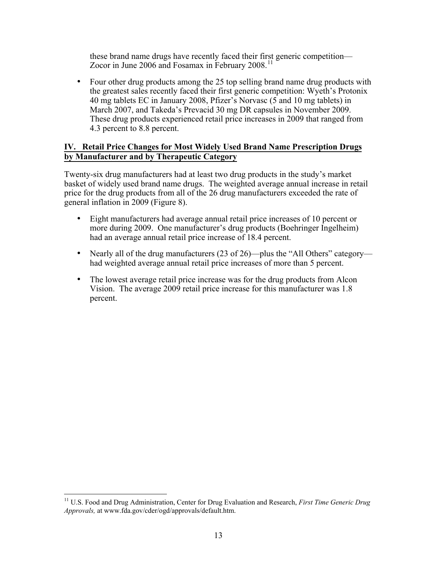<span id="page-21-0"></span>these brand name drugs have recently faced their first generic competition— Zocor in June 2006 and Fosamax in February 2008.<sup>11</sup>

• Four other drug products among the 25 top selling brand name drug products with the greatest sales recently faced their first generic competition: Wyeth's Protonix 40 mg tablets EC in January 2008, Pfizer's Norvasc (5 and 10 mg tablets) in March 2007, and Takeda's Prevacid 30 mg DR capsules in November 2009. These drug products experienced retail price increases in 2009 that ranged from 4.3 percent to 8.8 percent.

#### **IV. Retail Price Changes for Most Widely Used Brand Name Prescription Drugs by Manufacturer and by Therapeutic Category**

Twenty-six drug manufacturers had at least two drug products in the study's market basket of widely used brand name drugs. The weighted average annual increase in retail price for the drug products from all of the 26 drug manufacturers exceeded the rate of general inflation in 2009 (Figure 8).

- Eight manufacturers had average annual retail price increases of 10 percent or more during 2009. One manufacturer's drug products (Boehringer Ingelheim) had an average annual retail price increase of 18.4 percent.
- Nearly all of the drug manufacturers (23 of 26)—plus the "All Others" category had weighted average annual retail price increases of more than 5 percent.
- The lowest average retail price increase was for the drug products from Alcon Vision. The average 2009 retail price increase for this manufacturer was 1.8 percent.

 $\overline{a}$ 

<sup>11</sup> U.S. Food and Drug Administration, Center for Drug Evaluation and Research, *First Time Generic Drug Approvals,* at www.fda.gov/cder/ogd/approvals/default.htm.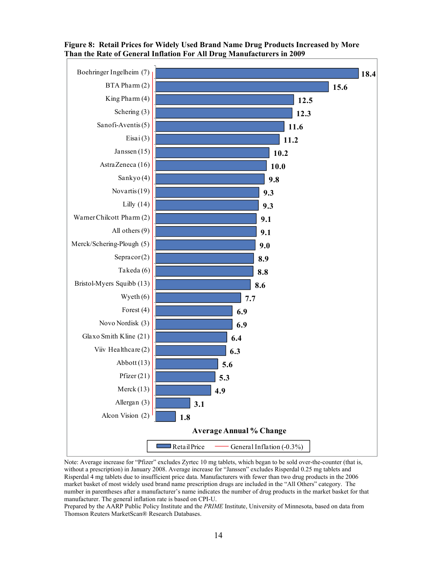

<span id="page-22-0"></span>**Figure 8: Retail Prices for Widely Used Brand Name Drug Products Increased by More Than the Rate of General Inflation For All Drug Manufacturers in 2009**

Note: Average increase for "Pfizer" excludes Zyrtec 10 mg tablets, which began to be sold over-the-counter (that is, without a prescription) in January 2008. Average increase for "Janssen" excludes Risperdal 0.25 mg tablets and Risperdal 4 mg tablets due to insufficient price data. Manufacturers with fewer than two drug products in the 2006 market basket of most widely used brand name prescription drugs are included in the "All Others" category. The number in parentheses after a manufacturer's name indicates the number of drug products in the market basket for that manufacturer. The general inflation rate is based on CPI-U.

Prepared by the AARP Public Policy Institute and the *PRIME* Institute, University of Minnesota, based on data from Thomson Reuters MarketScan® Research Databases.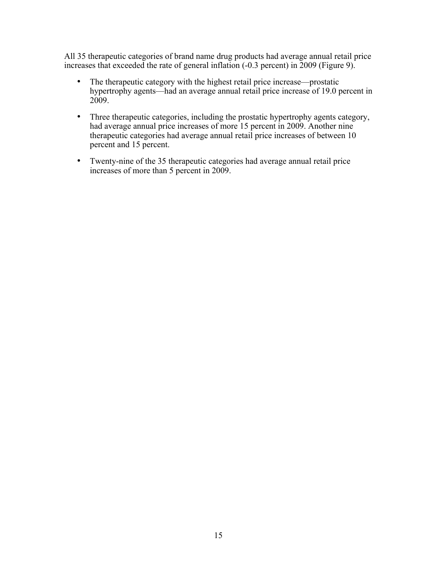All 35 therapeutic categories of brand name drug products had average annual retail price increases that exceeded the rate of general inflation (-0.3 percent) in 2009 (Figure 9).

- The therapeutic category with the highest retail price increase—prostatic hypertrophy agents—had an average annual retail price increase of 19.0 percent in 2009.
- Three therapeutic categories, including the prostatic hypertrophy agents category, had average annual price increases of more 15 percent in 2009. Another nine therapeutic categories had average annual retail price increases of between 10 percent and 15 percent.
- Twenty-nine of the 35 therapeutic categories had average annual retail price increases of more than 5 percent in 2009.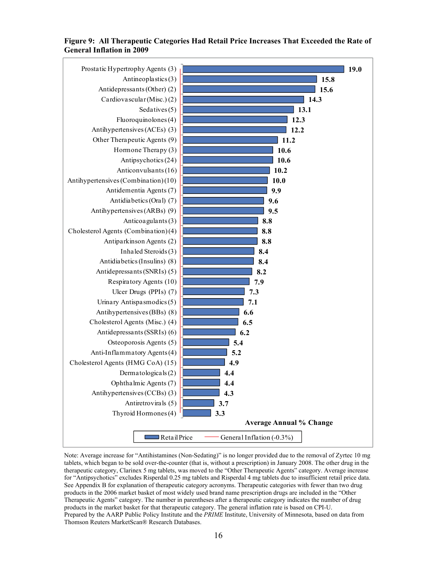#### <span id="page-24-0"></span>**Figure 9: All Therapeutic Categories Had Retail Price Increases That Exceeded the Rate of General Inflation in 2009**



Note: Average increase for "Antihistamines (Non-Sedating)" is no longer provided due to the removal of Zyrtec 10 mg tablets, which began to be sold over-the-counter (that is, without a prescription) in January 2008. The other drug in the therapeutic category, Clarinex 5 mg tablets, was moved to the "Other Therapeutic Agents" category. Average increase for "Antipsychotics" excludes Risperdal 0.25 mg tablets and Risperdal 4 mg tablets due to insufficient retail price data. See Appendix B for explanation of therapeutic category acronyms. Therapeutic categories with fewer than two drug products in the 2006 market basket of most widely used brand name prescription drugs are included in the "Other Therapeutic Agents" category. The number in parentheses after a therapeutic category indicates the number of drug products in the market basket for that therapeutic category. The general inflation rate is based on CPI-U. Prepared by the AARP Public Policy Institute and the *PRIME* Institute, University of Minnesota, based on data from Thomson Reuters MarketScan® Research Databases.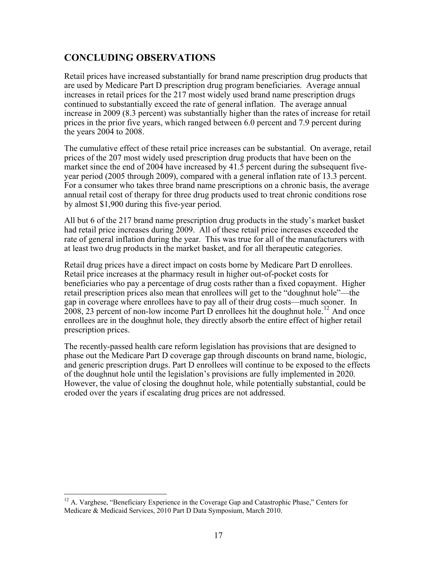# <span id="page-25-0"></span>**CONCLUDING OBSERVATIONS**

Retail prices have increased substantially for brand name prescription drug products that are used by Medicare Part D prescription drug program beneficiaries. Average annual increases in retail prices for the 217 most widely used brand name prescription drugs continued to substantially exceed the rate of general inflation. The average annual increase in 2009 (8.3 percent) was substantially higher than the rates of increase for retail prices in the prior five years, which ranged between 6.0 percent and 7.9 percent during the years 2004 to 2008.

The cumulative effect of these retail price increases can be substantial. On average, retail prices of the 207 most widely used prescription drug products that have been on the market since the end of 2004 have increased by 41.5 percent during the subsequent fiveyear period (2005 through 2009), compared with a general inflation rate of 13.3 percent. For a consumer who takes three brand name prescriptions on a chronic basis, the average annual retail cost of therapy for three drug products used to treat chronic conditions rose by almost \$1,900 during this five-year period.

All but 6 of the 217 brand name prescription drug products in the study's market basket had retail price increases during 2009. All of these retail price increases exceeded the rate of general inflation during the year. This was true for all of the manufacturers with at least two drug products in the market basket, and for all therapeutic categories.

Retail drug prices have a direct impact on costs borne by Medicare Part D enrollees. Retail price increases at the pharmacy result in higher out-of-pocket costs for beneficiaries who pay a percentage of drug costs rather than a fixed copayment. Higher retail prescription prices also mean that enrollees will get to the "doughnut hole"—the gap in coverage where enrollees have to pay all of their drug costs—much sooner. In 2008, 23 percent of non-low income Part D enrollees hit the doughnut hole.<sup>[12](#page-25-1)</sup> And once enrollees are in the doughnut hole, they directly absorb the entire effect of higher retail prescription prices.

The recently-passed health care reform legislation has provisions that are designed to phase out the Medicare Part D coverage gap through discounts on brand name, biologic, and generic prescription drugs. Part D enrollees will continue to be exposed to the effects of the doughnut hole until the legislation's provisions are fully implemented in 2020. However, the value of closing the doughnut hole, while potentially substantial, could be eroded over the years if escalating drug prices are not addressed.

 $\overline{a}$ 

<span id="page-25-1"></span> $12$  A. Varghese, "Beneficiary Experience in the Coverage Gap and Catastrophic Phase," Centers for Medicare & Medicaid Services, 2010 Part D Data Symposium, March 2010.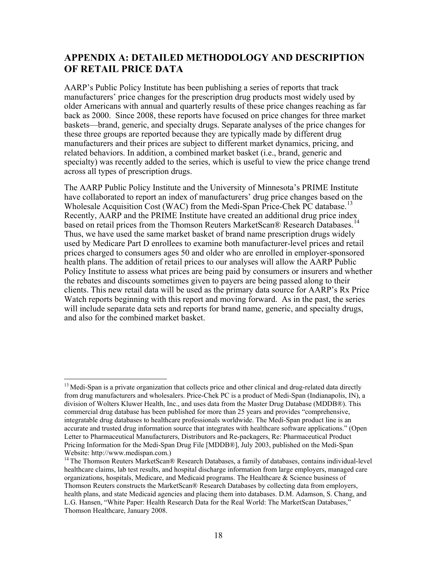# <span id="page-26-0"></span>**APPENDIX A: DETAILED METHODOLOGY AND DESCRIPTION OF RETAIL PRICE DATA**

AARP's Public Policy Institute has been publishing a series of reports that track manufacturers' price changes for the prescription drug products most widely used by older Americans with annual and quarterly results of these price changes reaching as far back as 2000. Since 2008, these reports have focused on price changes for three market baskets—brand, generic, and specialty drugs. Separate analyses of the price changes for these three groups are reported because they are typically made by different drug manufacturers and their prices are subject to different market dynamics, pricing, and related behaviors. In addition, a combined market basket (i.e., brand, generic and specialty) was recently added to the series, which is useful to view the price change trend across all types of prescription drugs.

The AARP Public Policy Institute and the University of Minnesota's PRIME Institute have collaborated to report an index of manufacturers' drug price changes based on the Wholesale Acquisition Cost (WAC) from the Medi-Span Price-Chek PC database.<sup>[13](#page-26-1)</sup> Recently, AARP and the PRIME Institute have created an additional drug price index based on retail prices from the Thomson Reuters MarketScan® Research Databases.<sup>[14](#page-26-2)</sup> Thus, we have used the same market basket of brand name prescription drugs widely used by Medicare Part D enrollees to examine both manufacturer-level prices and retail prices charged to consumers ages 50 and older who are enrolled in employer-sponsored health plans. The addition of retail prices to our analyses will allow the AARP Public Policy Institute to assess what prices are being paid by consumers or insurers and whether the rebates and discounts sometimes given to payers are being passed along to their clients. This new retail data will be used as the primary data source for AARP's Rx Price Watch reports beginning with this report and moving forward. As in the past, the series will include separate data sets and reports for brand name, generic, and specialty drugs, and also for the combined market basket.

 $\overline{a}$ 

<span id="page-26-1"></span> $<sup>13</sup>$  Medi-Span is a private organization that collects price and other clinical and drug-related data directly</sup> from drug manufacturers and wholesalers. Price-Chek PC is a product of Medi-Span (Indianapolis, IN), a division of Wolters Kluwer Health, Inc., and uses data from the Master Drug Database (MDDB®). This commercial drug database has been published for more than 25 years and provides "comprehensive, integratable drug databases to healthcare professionals worldwide. The Medi-Span product line is an accurate and trusted drug information source that integrates with healthcare software applications." (Open Letter to Pharmaceutical Manufacturers, Distributors and Re-packagers, Re: Pharmaceutical Product Pricing Information for the Medi-Span Drug File [MDDB®], July 2003, published on the Medi-Span Website: http://www.medispan.com.)

<span id="page-26-2"></span><sup>&</sup>lt;sup>14</sup> The Thomson Reuters MarketScan® Research Databases, a family of databases, contains individual-level healthcare claims, lab test results, and hospital discharge information from large employers, managed care organizations, hospitals, Medicare, and Medicaid programs. The Healthcare & Science business of Thomson Reuters constructs the MarketScan® Research Databases by collecting data from employers, health plans, and state Medicaid agencies and placing them into databases. D.M. Adamson, S. Chang, and L.G. Hansen, "White Paper: Health Research Data for the Real World: The MarketScan Databases," Thomson Healthcare, January 2008.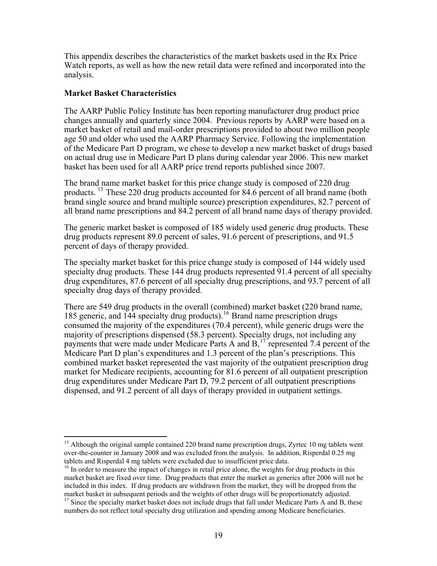This appendix describes the characteristics of the market baskets used in the Rx Price Watch reports, as well as how the new retail data were refined and incorporated into the analysis.

#### **Market Basket Characteristics**

 $\overline{a}$ 

The AARP Public Policy Institute has been reporting manufacturer drug product price changes annually and quarterly since 2004. Previous reports by AARP were based on a market basket of retail and mail-order prescriptions provided to about two million people age 50 and older who used the AARP Pharmacy Service. Following the implementation of the Medicare Part D program, we chose to develop a new market basket of drugs based on actual drug use in Medicare Part D plans during calendar year 2006. This new market basket has been used for all AARP price trend reports published since 2007.

The brand name market basket for this price change study is composed of 220 drug products. <sup>[15](#page-27-0)</sup> These 220 drug products accounted for 84.6 percent of all brand name (both brand single source and brand multiple source) prescription expenditures, 82.7 percent of all brand name prescriptions and 84.2 percent of all brand name days of therapy provided.

The generic market basket is composed of 185 widely used generic drug products. These drug products represent 89.0 percent of sales, 91.6 percent of prescriptions, and 91.5 percent of days of therapy provided.

The specialty market basket for this price change study is composed of 144 widely used specialty drug products. These 144 drug products represented 91.4 percent of all specialty drug expenditures, 87.6 percent of all specialty drug prescriptions, and 93.7 percent of all specialty drug days of therapy provided.

There are 549 drug products in the overall (combined) market basket (220 brand name, 185 generic, and 144 specialty drug products).<sup>[16](#page-27-1)</sup> Brand name prescription drugs consumed the majority of the expenditures (70.4 percent), while generic drugs were the majority of prescriptions dispensed (58.3 percent). Specialty drugs, not including any payments that were made under Medicare Parts A and B,<sup>[17](#page-27-2)</sup> represented 7.4 percent of the Medicare Part D plan's expenditures and 1.3 percent of the plan's prescriptions. This combined market basket represented the vast majority of the outpatient prescription drug market for Medicare recipients, accounting for 81.6 percent of all outpatient prescription drug expenditures under Medicare Part D, 79.2 percent of all outpatient prescriptions dispensed, and 91.2 percent of all days of therapy provided in outpatient settings.

<span id="page-27-0"></span><sup>&</sup>lt;sup>15</sup> Although the original sample contained 220 brand name prescription drugs, Zyrtec 10 mg tablets went over-the-counter in January 2008 and was excluded from the analysis. In addition, Risperdal 0.25 mg tablets and Risperdal 4 mg tablets were excluded due to insufficient price data.

<span id="page-27-1"></span><sup>&</sup>lt;sup>16</sup> In order to measure the impact of changes in retail price alone, the weights for drug products in this market basket are fixed over time. Drug products that enter the market as generics after 2006 will not be included in this index. If drug products are withdrawn from the market, they will be dropped from the market basket in subsequent periods and the weights of other drugs will be proportionately adjusted.

<span id="page-27-2"></span> $17$  Since the specialty market basket does not include drugs that fall under Medicare Parts A and B, these numbers do not reflect total specialty drug utilization and spending among Medicare beneficiaries.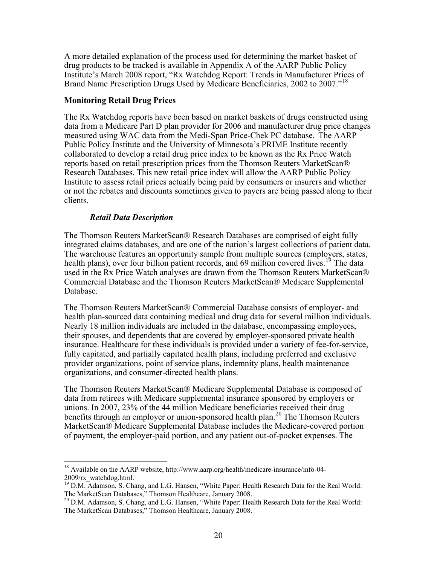A more detailed explanation of the process used for determining the market basket of drug products to be tracked is available in Appendix A of the AARP Public Policy Institute's March 2008 report, "Rx Watchdog Report: Trends in Manufacturer Prices of Brand Name Prescription Drugs Used by Medicare Beneficiaries, 2002 to 2007."[18](#page-28-0)

#### **Monitoring Retail Drug Prices**

The Rx Watchdog reports have been based on market baskets of drugs constructed using data from a Medicare Part D plan provider for 2006 and manufacturer drug price changes measured using WAC data from the Medi-Span Price-Chek PC database. The AARP Public Policy Institute and the University of Minnesota's PRIME Institute recently collaborated to develop a retail drug price index to be known as the Rx Price Watch reports based on retail prescription prices from the Thomson Reuters MarketScan® Research Databases. This new retail price index will allow the AARP Public Policy Institute to assess retail prices actually being paid by consumers or insurers and whether or not the rebates and discounts sometimes given to payers are being passed along to their clients.

#### *Retail Data Description*

The Thomson Reuters MarketScan® Research Databases are comprised of eight fully integrated claims databases, and are one of the nation's largest collections of patient data. The warehouse features an opportunity sample from multiple sources (employers, states, health plans), over four billion patient records, and 69 million covered lives.<sup>[19](#page-28-1)</sup> The data used in the Rx Price Watch analyses are drawn from the Thomson Reuters MarketScan® Commercial Database and the Thomson Reuters MarketScan® Medicare Supplemental Database.

The Thomson Reuters MarketScan® Commercial Database consists of employer- and health plan-sourced data containing medical and drug data for several million individuals. Nearly 18 million individuals are included in the database, encompassing employees, their spouses, and dependents that are covered by employer-sponsored private health insurance. Healthcare for these individuals is provided under a variety of fee-for-service, fully capitated, and partially capitated health plans, including preferred and exclusive provider organizations, point of service plans, indemnity plans, health maintenance organizations, and consumer-directed health plans.

The Thomson Reuters MarketScan® Medicare Supplemental Database is composed of data from retirees with Medicare supplemental insurance sponsored by employers or unions. In 2007, 23% of the 44 million Medicare beneficiaries received their drug benefits through an employer or union-sponsored health plan.<sup>[20](#page-28-2)</sup> The Thomson Reuters MarketScan® Medicare Supplemental Database includes the Medicare-covered portion of payment, the employer-paid portion, and any patient out-of-pocket expenses. The

<span id="page-28-0"></span> $\overline{a}$ <sup>18</sup> Available on the AARP website, http://www.aarp.org/health/medicare-insurance/info-04-2009/rx\_watchdog.html.

<span id="page-28-1"></span><sup>19</sup> D.M. Adamson, S. Chang, and L.G. Hansen, "White Paper: Health Research Data for the Real World:<br>
The MarketScan Databases," Thomson Healthcare, January 2008.

<span id="page-28-2"></span><sup>&</sup>lt;sup>20</sup> D.M. Adamson, S. Chang, and L.G. Hansen, "White Paper: Health Research Data for the Real World: The MarketScan Databases," Thomson Healthcare, January 2008.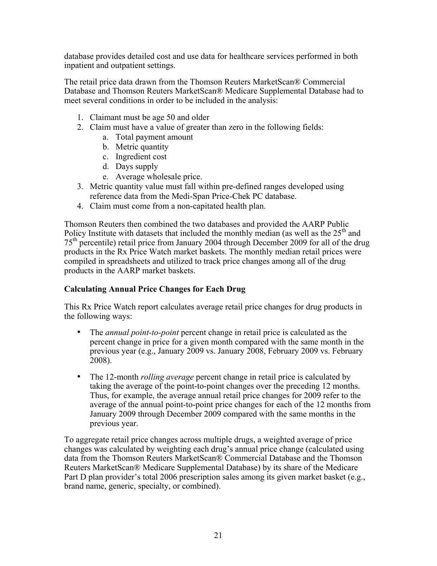database provides detailed cost and use data for healthcare services performed in both inpatient and outpatient settings.

The retail price data drawn from the Thomson Reuters MarketScan® Commercial Database and Thomson Reuters MarketScan® Medicare Supplemental Database had to meet several conditions in order to be included in the analysis:

- 1. Claimant must be age 50 and older
- 2. Claim must have a value of greater than zero in the following fields:
	- a. Total payment amount
	- b. Metric quantity
	- c. Ingredient cost
	- d. Days supply
	- e. Average wholesale price.
- 3. Metric quantity value must fall within pre-defined ranges developed using reference data from the Medi-Span Price-Chek PC database.
- 4. Claim must come from a non-capitated health plan.

Thomson Reuters then combined the two databases and provided the AARP Public Policy Institute with datasets that included the monthly median (as well as the  $25<sup>th</sup>$  and 75th percentile) retail price from January 2004 through December 2009 for all of the drug products in the Rx Price Watch market baskets. The monthly median retail prices were compiled in spreadsheets and utilized to track price changes among all of the drug products in the AARP market baskets.

#### **Calculating Annual Price Changes for Each Drug**

This Rx Price Watch report calculates average retail price changes for drug products in the following ways:

- The *annual point-to-point* percent change in retail price is calculated as the percent change in price for a given month compared with the same month in the previous year (e.g., January 2009 vs. January 2008, February 2009 vs. February 2008).
- The 12-month *rolling average* percent change in retail price is calculated by taking the average of the point-to-point changes over the preceding 12 months. Thus, for example, the average annual retail price changes for 2009 refer to the average of the annual point-to-point price changes for each of the 12 months from January 2009 through December 2009 compared with the same months in the previous year.

To aggregate retail price changes across multiple drugs, a weighted average of price changes was calculated by weighting each drug's annual price change (calculated using data from the Thomson Reuters MarketScan® Commercial Database and the Thomson Reuters MarketScan® Medicare Supplemental Database) by its share of the Medicare Part D plan provider's total 2006 prescription sales among its given market basket (e.g., brand name, generic, specialty, or combined).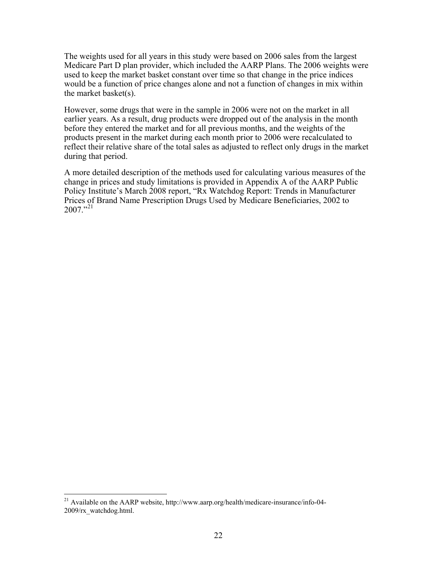The weights used for all years in this study were based on 2006 sales from the largest Medicare Part D plan provider, which included the AARP Plans. The 2006 weights were used to keep the market basket constant over time so that change in the price indices would be a function of price changes alone and not a function of changes in mix within the market basket(s).

However, some drugs that were in the sample in 2006 were not on the market in all earlier years. As a result, drug products were dropped out of the analysis in the month before they entered the market and for all previous months, and the weights of the products present in the market during each month prior to 2006 were recalculated to reflect their relative share of the total sales as adjusted to reflect only drugs in the market during that period.

A more detailed description of the methods used for calculating various measures of the change in prices and study limitations is provided in Appendix A of the AARP Public Policy Institute's March 2008 report, "Rx Watchdog Report: Trends in Manufacturer Prices of Brand Name Prescription Drugs Used by Medicare Beneficiaries, 2002 to  $2007$ ."<sup>[21](#page-30-0)</sup>

 $\overline{a}$ 

<span id="page-30-0"></span><sup>&</sup>lt;sup>21</sup> Available on the AARP website, http://www.aarp.org/health/medicare-insurance/info-04-2009/rx\_watchdog.html.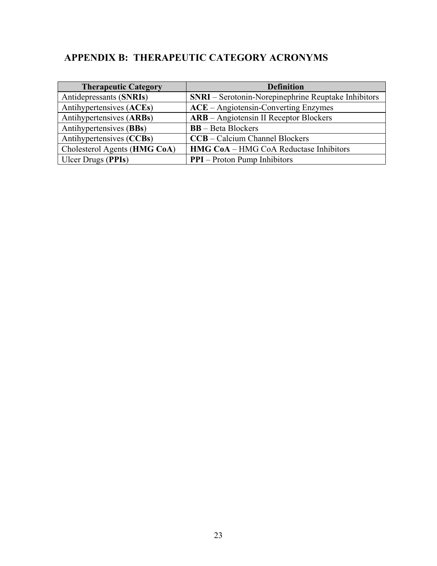# <span id="page-31-0"></span>**APPENDIX B: THERAPEUTIC CATEGORY ACRONYMS**

| <b>Therapeutic Category</b>  | <b>Definition</b>                                          |
|------------------------------|------------------------------------------------------------|
| Antidepressants (SNRIs)      | <b>SNRI</b> – Serotonin-Norepinephrine Reuptake Inhibitors |
| Antihypertensives (ACEs)     | $ACE - Angiotensin-Converting Enzymes$                     |
| Antihypertensives (ARBs)     | <b>ARB</b> – Angiotensin II Receptor Blockers              |
| Antihypertensives (BBs)      | <b>BB</b> – Beta Blockers                                  |
| Antihypertensives (CCBs)     | <b>CCB</b> – Calcium Channel Blockers                      |
| Cholesterol Agents (HMG CoA) | <b>HMG CoA</b> – HMG CoA Reductase Inhibitors              |
| Ulcer Drugs (PPIs)           | <b>PPI</b> – Proton Pump Inhibitors                        |